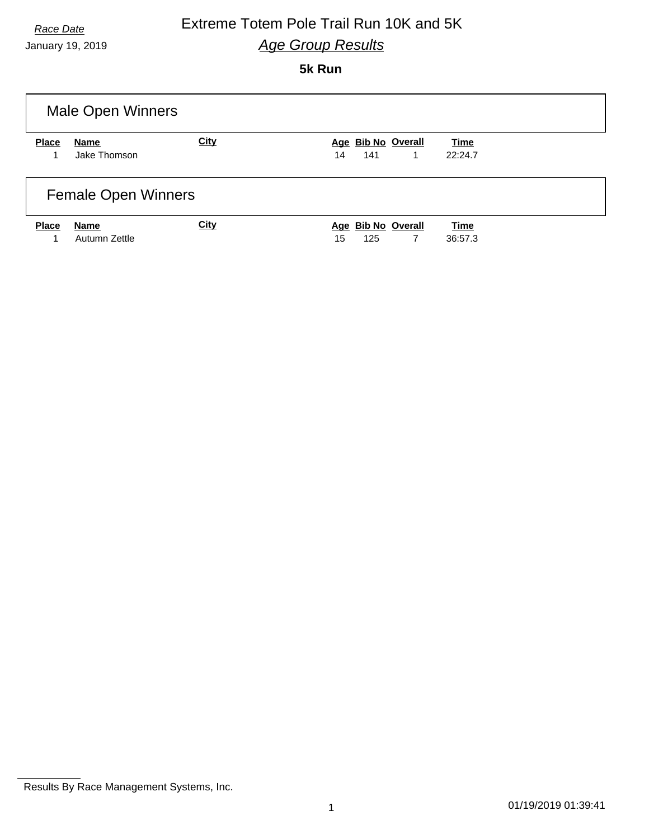January 19, 2019

### **5k Run**

|              | <b>Male Open Winners</b>   |             |                                      |                        |
|--------------|----------------------------|-------------|--------------------------------------|------------------------|
| <b>Place</b> | Name<br>Jake Thomson       | <b>City</b> | Age Bib No Overall<br>141<br>14<br>1 | <b>Time</b><br>22:24.7 |
|              | <b>Female Open Winners</b> |             |                                      |                        |
| <b>Place</b> | Name<br>Autumn Zettle      | <b>City</b> | Age Bib No Overall<br>15<br>125<br>7 | <b>Time</b><br>36:57.3 |

Results By Race Management Systems, Inc.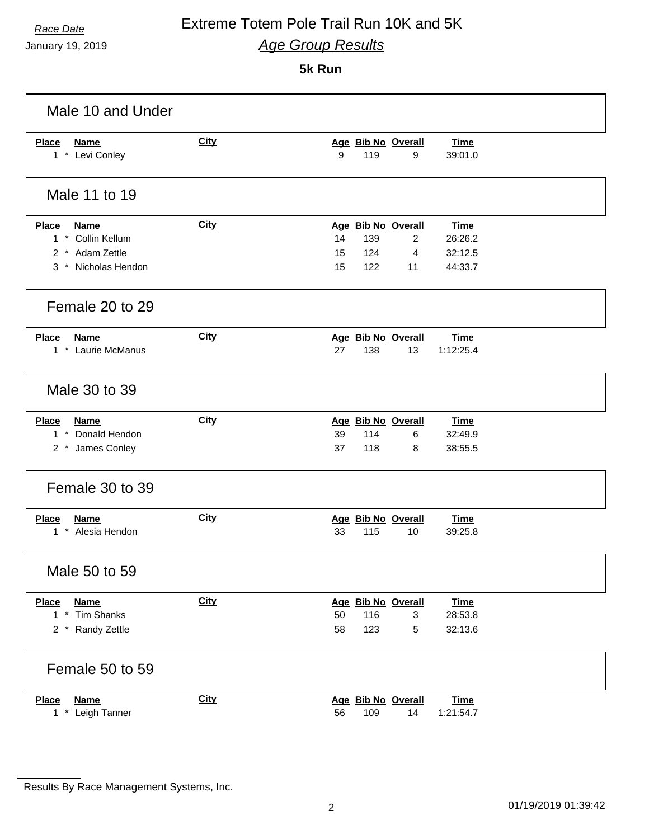January 19, 2019

### **5k Run**

| Male 10 and Under                                                                   |             |                                                                                                                                 |
|-------------------------------------------------------------------------------------|-------------|---------------------------------------------------------------------------------------------------------------------------------|
| <b>Place</b><br><b>Name</b><br>1 * Levi Conley                                      | <b>City</b> | Age Bib No Overall<br><b>Time</b><br>9<br>119<br>9<br>39:01.0                                                                   |
| Male 11 to 19                                                                       |             |                                                                                                                                 |
| Place<br><u>Name</u><br>1 * Collin Kellum<br>2 * Adam Zettle<br>3 * Nicholas Hendon | <b>City</b> | Age Bib No Overall<br>Time<br>14<br>139<br>$\overline{2}$<br>26:26.2<br>15<br>124<br>32:12.5<br>4<br>15<br>122<br>44:33.7<br>11 |
| Female 20 to 29                                                                     |             |                                                                                                                                 |
| <b>Place</b><br><b>Name</b><br>1 * Laurie McManus                                   | <b>City</b> | Age Bib No Overall<br><b>Time</b><br>27<br>138<br>13<br>1:12:25.4                                                               |
| Male 30 to 39                                                                       |             |                                                                                                                                 |
| <b>Place</b><br><b>Name</b><br>$1 *$<br>Donald Hendon<br>2 * James Conley           | <b>City</b> | Age Bib No Overall<br>Time<br>39<br>114<br>6<br>32:49.9<br>37<br>118<br>38:55.5<br>8                                            |
| Female 30 to 39                                                                     |             |                                                                                                                                 |
| <b>Place</b><br><b>Name</b><br>1 * Alesia Hendon                                    | City        | Age Bib No Overall<br><b>Time</b><br>33<br>115<br>10<br>39:25.8                                                                 |
| Male 50 to 59                                                                       |             |                                                                                                                                 |
| <b>Place</b><br><b>Name</b><br>1 * Tim Shanks<br>2 * Randy Zettle                   | <b>City</b> | Age Bib No Overall<br><b>Time</b><br>28:53.8<br>50<br>116<br>3<br>58<br>123<br>5<br>32:13.6                                     |
| Female 50 to 59                                                                     |             |                                                                                                                                 |
| <b>Place</b><br><b>Name</b><br>$1 *$<br>Leigh Tanner                                | City        | Age Bib No Overall<br><b>Time</b><br>56<br>109<br>14<br>1:21:54.7                                                               |

Results By Race Management Systems, Inc.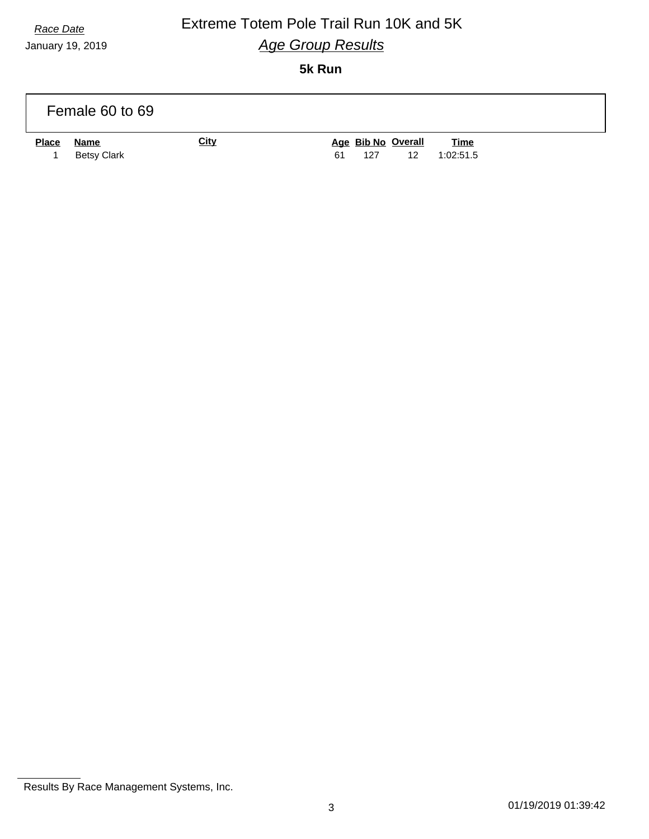January 19, 2019

### **5k Run**

|              | Female 60 to 69                   |             |                                       |                          |
|--------------|-----------------------------------|-------------|---------------------------------------|--------------------------|
| <b>Place</b> | <u>Name</u><br><b>Betsy Clark</b> | <b>City</b> | Age Bib No Overall<br>127<br>61<br>12 | <b>Time</b><br>1:02:51.5 |

Results By Race Management Systems, Inc.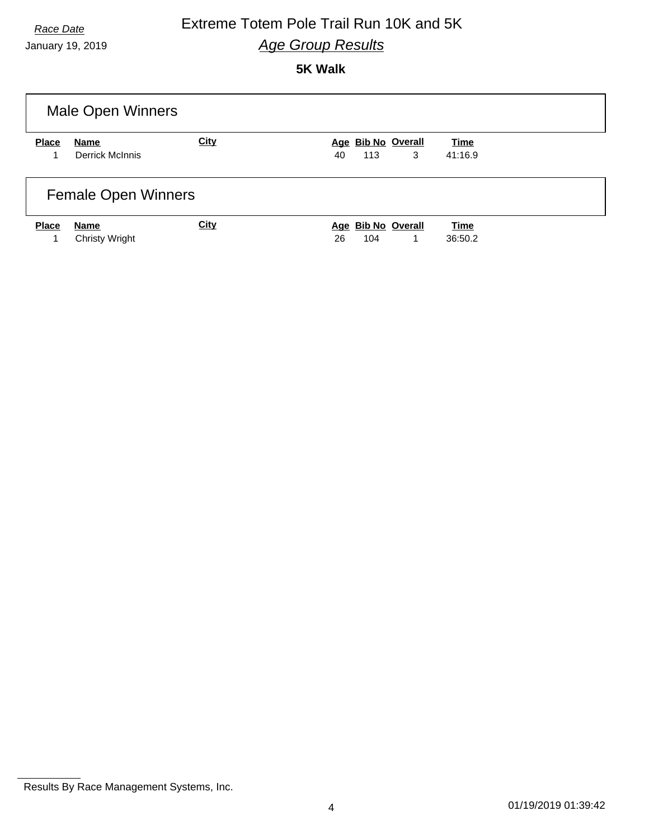January 19, 2019

## **5K Walk**

|              | <b>Male Open Winners</b>      |             |                                      |                        |
|--------------|-------------------------------|-------------|--------------------------------------|------------------------|
| <b>Place</b> | Name<br>Derrick McInnis       | <b>City</b> | Age Bib No Overall<br>3<br>113<br>40 | <b>Time</b><br>41:16.9 |
|              | <b>Female Open Winners</b>    |             |                                      |                        |
| <b>Place</b> | Name<br><b>Christy Wright</b> | <b>City</b> | Age Bib No Overall<br>26<br>104<br>1 | <b>Time</b><br>36:50.2 |

Results By Race Management Systems, Inc.